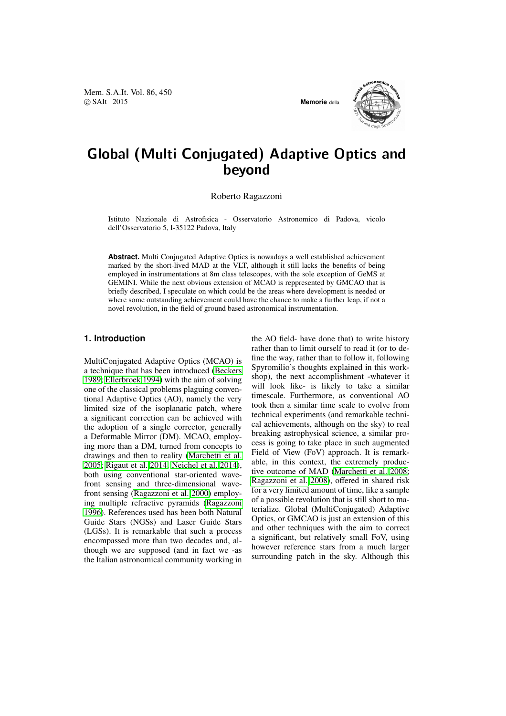

# Global (Multi Conjugated) Adaptive Optics and beyond

Roberto Ragazzoni

Istituto Nazionale di Astrofisica - Osservatorio Astronomico di Padova, vicolo dell'Osservatorio 5, I-35122 Padova, Italy

**Abstract.** Multi Conjugated Adaptive Optics is nowadays a well established achievement marked by the short-lived MAD at the VLT, although it still lacks the benefits of being employed in instrumentations at 8m class telescopes, with the sole exception of GeMS at GEMINI. While the next obvious extension of MCAO is reppresented by GMCAO that is briefly described, I speculate on which could be the areas where development is needed or where some outstanding achievement could have the chance to make a further leap, if not a novel revolution, in the field of ground based astronomical instrumentation.

### **1. Introduction**

MultiConjugated Adaptive Optics (MCAO) is a technique that has been introduced (Beckers 1989; Ellerbroek 1994) with the aim of solving one of the classical problems plaguing conventional Adaptive Optics (AO), namely the very limited size of the isoplanatic patc[h, where](#page-3-0) [a significant correction](#page-3-0) can be achieved with the adoption of a single corrector, generally a Deformable Mirror (DM). MCAO, employing more than a DM, turned from concepts to drawings and then to reality (Marchetti et al. 2005; Rigaut et al. 2014; Neichel et al. 2014), both using conventional star-oriented wavefront sensing and three-dimensional wavefront sensing (Ragazzoni et al. [2000\) employ](#page-3-0)[ing m](#page-3-0)ultiple refra[ctive](#page-3-0) [pyramids \(Ragazzon](#page-3-0)i 1996)[. References u](#page-3-0)sed has been both Natural Guide Stars (NGSs) and Laser Guide Stars (LGSs). It is remarkable that [such](#page-3-0) a process encompassed [more than two d](#page-3-0)ecades and, al[thoug](#page-3-0)h we are supposed (and in [fact we -as](#page-3-0) the Italian astronomical community working in the AO field- have done that) to write history rather than to limit ourself to read it (or to define the way, rather than to follow it, following Spyromilio's thoughts explained in this workshop), the next accomplishment -whatever it will look like- is likely to take a similar timescale. Furthermore, as conventional AO took then a similar time scale to evolve from technical experiments (and remarkable technical achievements, although on the sky) to real breaking astrophysical science, a similar process is going to take place in such augmented Field of View (FoV) approach. It is remarkable, in this context, the extremely productive outcome of MAD (Marchetti et al. 2008; Ragazzoni et al. 2008), offered in shared risk for a very limited amount of time, like a sample of a possible revolution that is still short to materialize. Global (MultiConjugated) Adaptive Optics, or GMCAO is j[ust an extension](#page-3-0) [of this](#page-3-0) [and other techniques w](#page-3-0)ith the aim to correct a significant, but relatively small FoV, using however reference stars from a much larger surrounding patch in the sky. Although this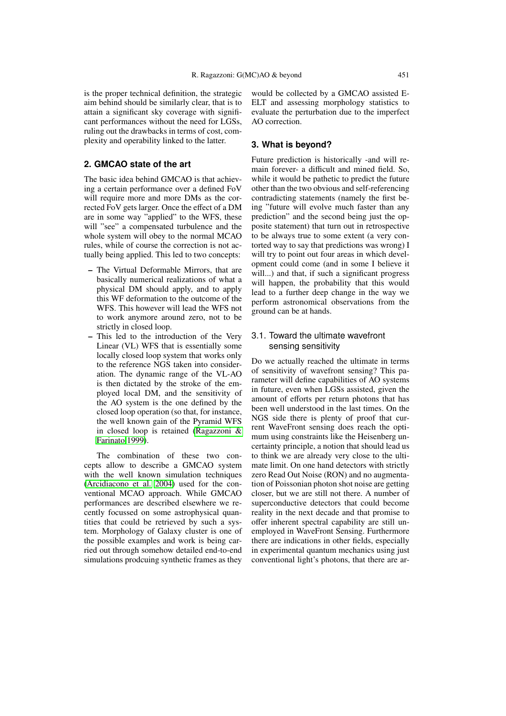is the proper technical definition, the strategic aim behind should be similarly clear, that is to attain a significant sky coverage with significant performances without the need for LGSs, ruling out the drawbacks in terms of cost, complexity and operability linked to the latter.

## **2. GMCAO state of the art**

The basic idea behind GMCAO is that achieving a certain performance over a defined FoV will require more and more DMs as the corrected FoV gets larger. Once the effect of a DM are in some way "applied" to the WFS, these will "see" a compensated turbulence and the whole system will obey to the normal MCAO rules, while of course the correction is not actually being applied. This led to two concepts:

- The Virtual Deformable Mirrors, that are basically numerical realizations of what a physical DM should apply, and to apply this WF deformation to the outcome of the WFS. This however will lead the WFS not to work anymore around zero, not to be strictly in closed loop.
- This led to the introduction of the Very Linear (VL) WFS that is essentially some locally closed loop system that works only to the reference NGS taken into consideration. The dynamic range of the VL-AO is then dictated by the stroke of the employed local DM, and the sensitivity of the AO system is the one defined by the closed loop operation (so that, for instance, the well known gain of the Pyramid WFS in closed loop is retained (Ragazzoni & Farinato 1999).

The combination of these two concepts allow to describe a GMCAO system with the well known simulati[on techniques](#page-3-0) (Ar[cidiacono et a](#page-3-0)l. 2004) used for the conventional MCAO approach. While GMCAO performances are described elsewhere we recently focussed on some astrophysical quantities that could be retrieved by such a sys[tem. Morphology of Gala](#page-3-0)xy cluster is one of the possible examples and work is being carried out through somehow detailed end-to-end simulations prodcuing synthetic frames as they would be collected by a GMCAO assisted E-ELT and assessing morphology statistics to evaluate the perturbation due to the imperfect AO correction.

### **3. What is beyond?**

Future prediction is historically -and will remain forever- a difficult and mined field. So, while it would be pathetic to predict the future other than the two obvious and self-referencing contradicting statements (namely the first being "future will evolve much faster than any prediction" and the second being just the opposite statement) that turn out in retrospective to be always true to some extent (a very contorted way to say that predictions was wrong) I will try to point out four areas in which development could come (and in some I believe it will...) and that, if such a significant progress will happen, the probability that this would lead to a further deep change in the way we perform astronomical observations from the ground can be at hands.

## 3.1. Toward the ultimate wavefront sensing sensitivity

Do we actually reached the ultimate in terms of sensitivity of wavefront sensing? This parameter will define capabilities of AO systems in future, even when LGSs assisted, given the amount of efforts per return photons that has been well understood in the last times. On the NGS side there is plenty of proof that current WaveFront sensing does reach the optimum using constraints like the Heisenberg uncertainty principle, a notion that should lead us to think we are already very close to the ultimate limit. On one hand detectors with strictly zero Read Out Noise (RON) and no augmentation of Poissonian photon shot noise are getting closer, but we are still not there. A number of superconductive detectors that could become reality in the next decade and that promise to offer inherent spectral capability are still unemployed in WaveFront Sensing. Furthermore there are indications in other fields, especially in experimental quantum mechanics using just conventional light's photons, that there are ar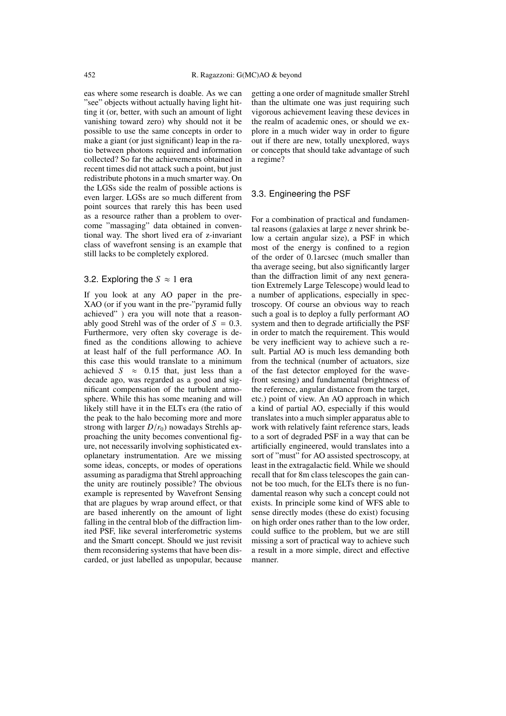eas where some research is doable. As we can "see" objects without actually having light hitting it (or, better, with such an amount of light vanishing toward zero) why should not it be possible to use the same concepts in order to make a giant (or just significant) leap in the ratio between photons required and information collected? So far the achievements obtained in recent times did not attack such a point, but just redistribute photons in a much smarter way. On the LGSs side the realm of possible actions is even larger. LGSs are so much different from point sources that rarely this has been used as a resource rather than a problem to overcome "massaging" data obtained in conventional way. The short lived era of z-invariant class of wavefront sensing is an example that still lacks to be completely explored.

## 3.2. Exploring the  $S \approx 1$  era

If you look at any AO paper in the pre-XAO (or if you want in the pre-"pyramid fully achieved" ) era you will note that a reasonably good Strehl was of the order of  $S = 0.3$ . Furthermore, very often sky coverage is defined as the conditions allowing to achieve at least half of the full performance AO. In this case this would translate to a minimum achieved  $S \approx 0.15$  that, just less than a decade ago, was regarded as a good and significant compensation of the turbulent atmosphere. While this has some meaning and will likely still have it in the ELTs era (the ratio of the peak to the halo becoming more and more strong with larger  $D/r_0$ ) nowadays Strehls approaching the unity becomes conventional figure, not necessarily involving sophisticated exoplanetary instrumentation. Are we missing some ideas, concepts, or modes of operations assuming as paradigma that Strehl approaching the unity are routinely possible? The obvious example is represented by Wavefront Sensing that are plagues by wrap around effect, or that are based inherently on the amount of light falling in the central blob of the diffraction limited PSF, like several interferometric systems and the Smartt concept. Should we just revisit them reconsidering systems that have been discarded, or just labelled as unpopular, because getting a one order of magnitude smaller Strehl than the ultimate one was just requiring such vigorous achievement leaving these devices in the realm of academic ones, or should we explore in a much wider way in order to figure out if there are new, totally unexplored, ways or concepts that should take advantage of such a regime?

## 3.3. Engineering the PSF

For a combination of practical and fundamental reasons (galaxies at large z never shrink below a certain angular size), a PSF in which most of the energy is confined to a region of the order of 0.1arcsec (much smaller than tha average seeing, but also significantly larger than the diffraction limit of any next generation Extremely Large Telescope) would lead to a number of applications, especially in spectroscopy. Of course an obvious way to reach such a goal is to deploy a fully performant AO system and then to degrade artificially the PSF in order to match the requirement. This would be very inefficient way to achieve such a result. Partial AO is much less demanding both from the technical (number of actuators, size of the fast detector employed for the wavefront sensing) and fundamental (brightness of the reference, angular distance from the target, etc.) point of view. An AO approach in which a kind of partial AO, especially if this would translates into a much simpler apparatus able to work with relatively faint reference stars, leads to a sort of degraded PSF in a way that can be artificially engineered, would translates into a sort of "must" for AO assisted spectroscopy, at least in the extragalactic field. While we should recall that for 8m class telescopes the gain cannot be too much, for the ELTs there is no fundamental reason why such a concept could not exists. In principle some kind of WFS able to sense directly modes (these do exist) focusing on high order ones rather than to the low order, could suffice to the problem, but we are still missing a sort of practical way to achieve such a result in a more simple, direct and effective manner.